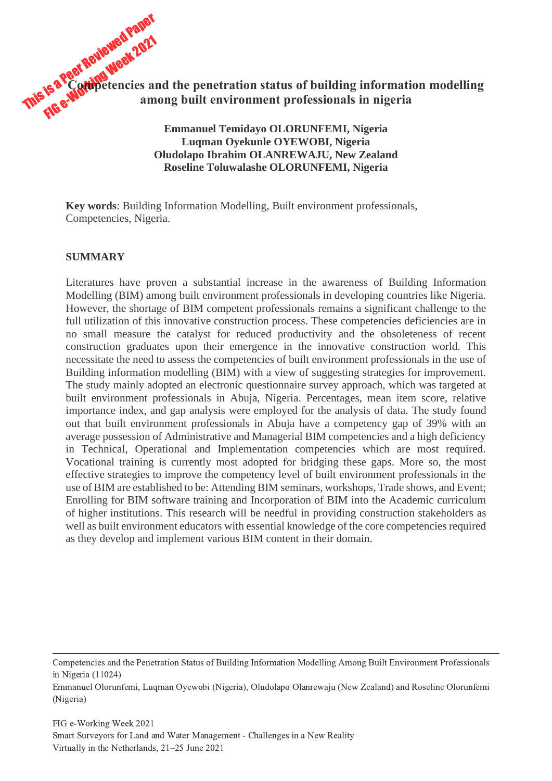This is a Peer Reviewed Paper Fis a Peer Reviewed - 2021<br>Fis a Peer Reviewed 2021 **Competencies and the penetration status of building information modelling among built environment professionals in nigeria**

> **Emmanuel Temidayo OLORUNFEMI, Nigeria Luqman Oyekunle OYEWOBI, Nigeria Oludolapo Ibrahim OLANREWAJU, New Zealand Roseline Toluwalashe OLORUNFEMI, Nigeria**

**Key words**: Building Information Modelling, Built environment professionals, Competencies, Nigeria.

#### **SUMMARY**

Literatures have proven a substantial increase in the awareness of Building Information Modelling (BIM) among built environment professionals in developing countries like Nigeria. However, the shortage of BIM competent professionals remains a significant challenge to the full utilization of this innovative construction process. These competencies deficiencies are in no small measure the catalyst for reduced productivity and the obsoleteness of recent construction graduates upon their emergence in the innovative construction world. This necessitate the need to assess the competencies of built environment professionals in the use of Building information modelling (BIM) with a view of suggesting strategies for improvement. The study mainly adopted an electronic questionnaire survey approach, which was targeted at built environment professionals in Abuja, Nigeria. Percentages, mean item score, relative importance index, and gap analysis were employed for the analysis of data. The study found out that built environment professionals in Abuja have a competency gap of 39% with an average possession of Administrative and Managerial BIM competencies and a high deficiency in Technical, Operational and Implementation competencies which are most required. Vocational training is currently most adopted for bridging these gaps. More so, the most effective strategies to improve the competency level of built environment professionals in the use of BIM are established to be: Attending BIM seminars, workshops, Trade shows, and Event; Enrolling for BIM software training and Incorporation of BIM into the Academic curriculum of higher institutions. This research will be needful in providing construction stakeholders as well as built environment educators with essential knowledge of the core competencies required as they develop and implement various BIM content in their domain.

Competencies and the Penetration Status of Building Information Modelling Among Built Environment Professionals in Nigeria (11024)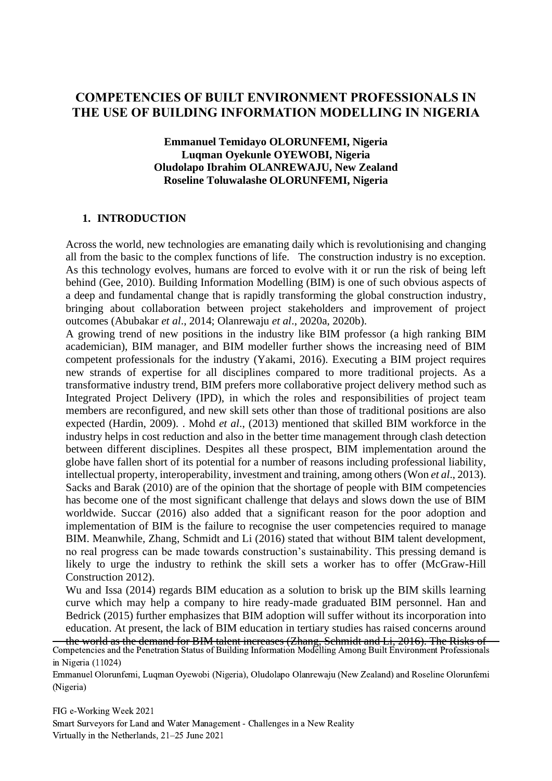# **COMPETENCIES OF BUILT ENVIRONMENT PROFESSIONALS IN THE USE OF BUILDING INFORMATION MODELLING IN NIGERIA**

**Emmanuel Temidayo OLORUNFEMI, Nigeria Luqman Oyekunle OYEWOBI, Nigeria Oludolapo Ibrahim OLANREWAJU, New Zealand Roseline Toluwalashe OLORUNFEMI, Nigeria**

#### **1. INTRODUCTION**

Across the world, new technologies are emanating daily which is revolutionising and changing all from the basic to the complex functions of life. The construction industry is no exception. As this technology evolves, humans are forced to evolve with it or run the risk of being left behind (Gee, 2010). Building Information Modelling (BIM) is one of such obvious aspects of a deep and fundamental change that is rapidly transforming the global construction industry, bringing about collaboration between project stakeholders and improvement of project outcomes (Abubakar *et al*., 2014; Olanrewaju *et al*., 2020a, 2020b).

A growing trend of new positions in the industry like BIM professor (a high ranking BIM academician), BIM manager, and BIM modeller further shows the increasing need of BIM competent professionals for the industry (Yakami, 2016). Executing a BIM project requires new strands of expertise for all disciplines compared to more traditional projects. As a transformative industry trend, BIM prefers more collaborative project delivery method such as Integrated Project Delivery (IPD), in which the roles and responsibilities of project team members are reconfigured, and new skill sets other than those of traditional positions are also expected (Hardin, 2009). . Mohd *et al*., (2013) mentioned that skilled BIM workforce in the industry helps in cost reduction and also in the better time management through clash detection between different disciplines. Despites all these prospect, BIM implementation around the globe have fallen short of its potential for a number of reasons including professional liability, intellectual property, interoperability, investment and training, among others (Won *et al*., 2013). Sacks and Barak (2010) are of the opinion that the shortage of people with BIM competencies has become one of the most significant challenge that delays and slows down the use of BIM worldwide. Succar (2016) also added that a significant reason for the poor adoption and implementation of BIM is the failure to recognise the user competencies required to manage BIM. Meanwhile, Zhang, Schmidt and Li (2016) stated that without BIM talent development, no real progress can be made towards construction's sustainability. This pressing demand is likely to urge the industry to rethink the skill sets a worker has to offer (McGraw-Hill Construction 2012).

Wu and Issa (2014) regards BIM education as a solution to brisk up the BIM skills learning curve which may help a company to hire ready-made graduated BIM personnel. Han and Bedrick (2015) further emphasizes that BIM adoption will suffer without its incorporation into education. At present, the lack of BIM education in tertiary studies has raised concerns around

the world as the demand for BIM talent increases (Zhang, Schmidt and Li, 2016). The Risks of Competencies and the Penetration Status of Building Information Modelling Among Built Environment Professionals in Nigeria (11024)

Emmanuel Olorunfemi, Luqman Oyewobi (Nigeria), Oludolapo Olanrewaju (New Zealand) and Roseline Olorunfemi (Nigeria)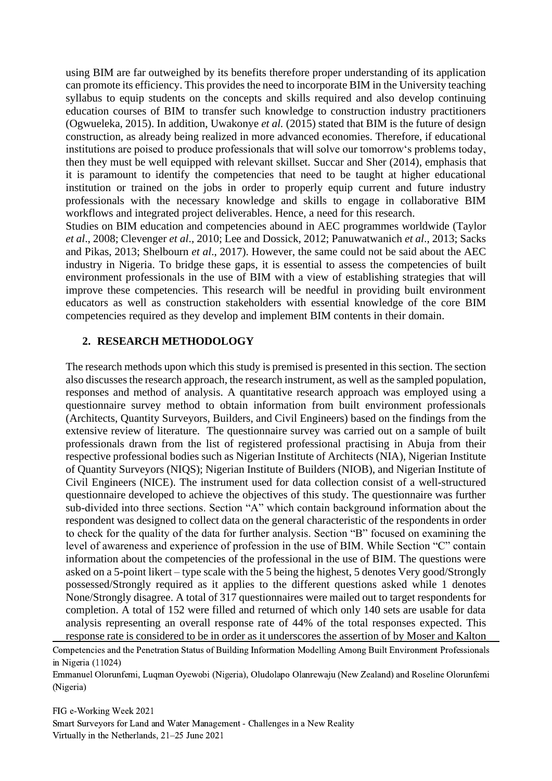using BIM are far outweighed by its benefits therefore proper understanding of its application can promote its efficiency. This provides the need to incorporate BIM in the University teaching syllabus to equip students on the concepts and skills required and also develop continuing education courses of BIM to transfer such knowledge to construction industry practitioners (Ogwueleka, 2015). In addition, Uwakonye *et al.* (2015) stated that BIM is the future of design construction, as already being realized in more advanced economies. Therefore, if educational institutions are poised to produce professionals that will solve our tomorrow's problems today, then they must be well equipped with relevant skillset. Succar and Sher (2014), emphasis that it is paramount to identify the competencies that need to be taught at higher educational institution or trained on the jobs in order to properly equip current and future industry professionals with the necessary knowledge and skills to engage in collaborative BIM workflows and integrated project deliverables. Hence, a need for this research.

Studies on BIM education and competencies abound in AEC programmes worldwide (Taylor *et al*., 2008; Clevenger *et al*., 2010; Lee and Dossick, 2012; Panuwatwanich *et al*., 2013; Sacks and Pikas, 2013; Shelbourn *et al*., 2017). However, the same could not be said about the AEC industry in Nigeria. To bridge these gaps, it is essential to assess the competencies of built environment professionals in the use of BIM with a view of establishing strategies that will improve these competencies. This research will be needful in providing built environment educators as well as construction stakeholders with essential knowledge of the core BIM competencies required as they develop and implement BIM contents in their domain.

#### **2. RESEARCH METHODOLOGY**

The research methods upon which this study is premised is presented in this section. The section also discusses the research approach, the research instrument, as well as the sampled population, responses and method of analysis. A quantitative research approach was employed using a questionnaire survey method to obtain information from built environment professionals (Architects, Quantity Surveyors, Builders, and Civil Engineers) based on the findings from the extensive review of literature. The questionnaire survey was carried out on a sample of built professionals drawn from the list of registered professional practising in Abuja from their respective professional bodies such as Nigerian Institute of Architects (NIA), Nigerian Institute of Quantity Surveyors (NIQS); Nigerian Institute of Builders (NIOB), and Nigerian Institute of Civil Engineers (NICE). The instrument used for data collection consist of a well-structured questionnaire developed to achieve the objectives of this study. The questionnaire was further sub-divided into three sections. Section "A" which contain background information about the respondent was designed to collect data on the general characteristic of the respondents in order to check for the quality of the data for further analysis. Section "B" focused on examining the level of awareness and experience of profession in the use of BIM. While Section "C" contain information about the competencies of the professional in the use of BIM. The questions were asked on a 5-point likert – type scale with the 5 being the highest, 5 denotes Very good/Strongly possessed/Strongly required as it applies to the different questions asked while 1 denotes None/Strongly disagree. A total of 317 questionnaires were mailed out to target respondents for completion. A total of 152 were filled and returned of which only 140 sets are usable for data analysis representing an overall response rate of 44% of the total responses expected. This response rate is considered to be in order as it underscores the assertion of by Moser and Kalton

Emmanuel Olorunfemi, Luqman Oyewobi (Nigeria), Oludolapo Olanrewaju (New Zealand) and Roseline Olorunfemi (Nigeria)

Competencies and the Penetration Status of Building Information Modelling Among Built Environment Professionals in Nigeria (11024)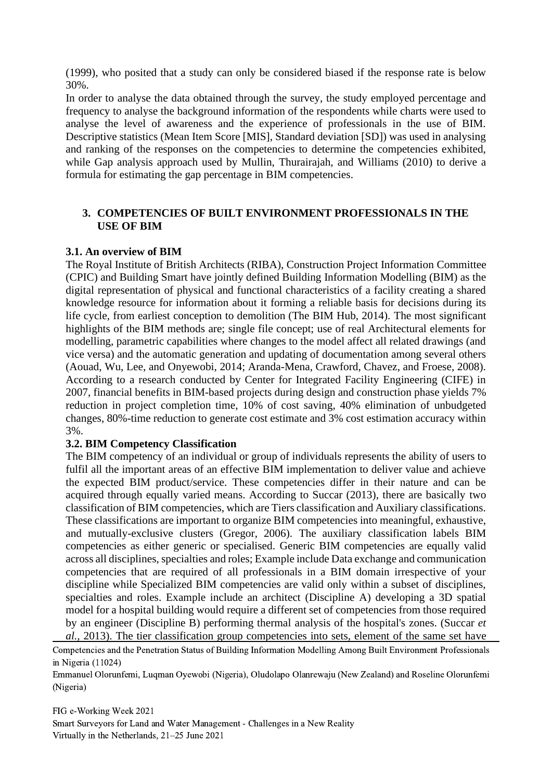(1999), who posited that a study can only be considered biased if the response rate is below 30%.

In order to analyse the data obtained through the survey, the study employed percentage and frequency to analyse the background information of the respondents while charts were used to analyse the level of awareness and the experience of professionals in the use of BIM. Descriptive statistics (Mean Item Score [MIS], Standard deviation [SD]) was used in analysing and ranking of the responses on the competencies to determine the competencies exhibited, while Gap analysis approach used by Mullin, Thurairajah, and Williams (2010) to derive a formula for estimating the gap percentage in BIM competencies.

#### **3. COMPETENCIES OF BUILT ENVIRONMENT PROFESSIONALS IN THE USE OF BIM**

#### **3.1. An overview of BIM**

The Royal Institute of British Architects (RIBA), Construction Project Information Committee (CPIC) and Building Smart have jointly defined Building Information Modelling (BIM) as the digital representation of physical and functional characteristics of a facility creating a shared knowledge resource for information about it forming a reliable basis for decisions during its life cycle, from earliest conception to demolition (The BIM Hub, 2014). The most significant highlights of the BIM methods are; single file concept; use of real Architectural elements for modelling, parametric capabilities where changes to the model affect all related drawings (and vice versa) and the automatic generation and updating of documentation among several others (Aouad, Wu, Lee, and Onyewobi, 2014; Aranda-Mena, Crawford, Chavez, and Froese, 2008). According to a research conducted by Center for Integrated Facility Engineering (CIFE) in 2007, financial benefits in BIM-based projects during design and construction phase yields 7% reduction in project completion time, 10% of cost saving, 40% elimination of unbudgeted changes, 80%-time reduction to generate cost estimate and 3% cost estimation accuracy within 3%.

# **3.2. BIM Competency Classification**

The BIM competency of an individual or group of individuals represents the ability of users to fulfil all the important areas of an effective BIM implementation to deliver value and achieve the expected BIM product/service. These competencies differ in their nature and can be acquired through equally varied means. According to Succar (2013), there are basically two classification of BIM competencies, which are Tiers classification and Auxiliary classifications. These classifications are important to organize BIM competencies into meaningful, exhaustive, and mutually-exclusive clusters (Gregor, 2006). The auxiliary classification labels BIM competencies as either generic or specialised. Generic BIM competencies are equally valid across all disciplines, specialties and roles; Example include Data exchange and communication competencies that are required of all professionals in a BIM domain irrespective of your discipline while Specialized BIM competencies are valid only within a subset of disciplines, specialties and roles. Example include an architect (Discipline A) developing a 3D spatial model for a hospital building would require a different set of competencies from those required by an engineer (Discipline B) performing thermal analysis of the hospital's zones. (Succar *et al.,* 2013). The tier classification group competencies into sets, element of the same set have

Competencies and the Penetration Status of Building Information Modelling Among Built Environment Professionals in Nigeria (11024)

Emmanuel Olorunfemi, Luqman Oyewobi (Nigeria), Oludolapo Olanrewaju (New Zealand) and Roseline Olorunfemi (Nigeria)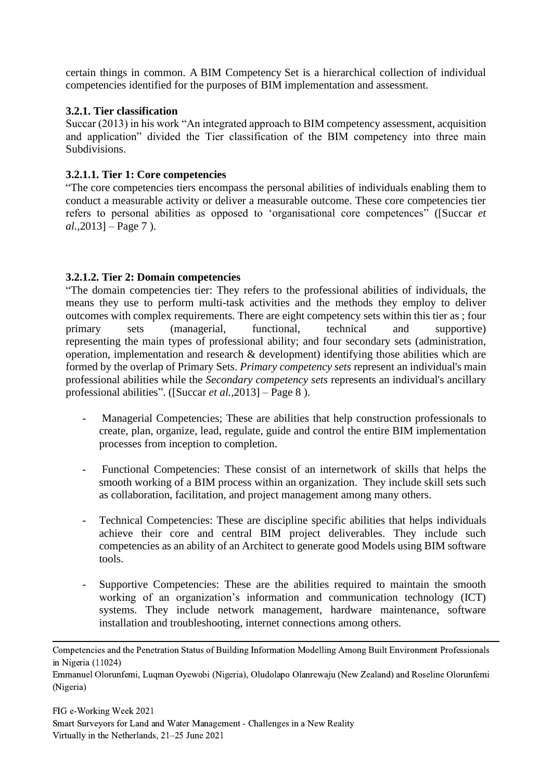certain things in common. A BIM Competency Set is a hierarchical collection of individual competencies identified for the purposes of BIM implementation and assessment.

# **3.2.1. Tier classification**

Succar (2013) in his work "An integrated approach to BIM competency assessment, acquisition and application" divided the Tier classification of the BIM competency into three main Subdivisions.

#### **3.2.1.1. Tier 1: Core competencies**

"The core competencies tiers encompass the personal abilities of individuals enabling them to conduct a measurable activity or deliver a measurable outcome. These core competencies tier refers to personal abilities as opposed to 'organisational core competences" ([Succar *et al.,*2013] – Page 7 ).

#### **3.2.1.2. Tier 2: Domain competencies**

"The domain competencies tier: They refers to the professional abilities of individuals, the means they use to perform multi-task activities and the methods they employ to deliver outcomes with complex requirements. There are eight competency sets within this tier as ; four primary sets (managerial, functional, technical and supportive) representing the main types of professional ability; and four secondary sets (administration, operation, implementation and research & development) identifying those abilities which are formed by the overlap of Primary Sets. *Primary competency sets* represent an individual's main professional abilities while the *Secondary competency sets* represents an individual's ancillary professional abilities". ([Succar *et al.,*2013] – Page 8 ).

- Managerial Competencies; These are abilities that help construction professionals to create, plan, organize, lead, regulate, guide and control the entire BIM implementation processes from inception to completion.
- Functional Competencies: These consist of an internetwork of skills that helps the smooth working of a BIM process within an organization. They include skill sets such as collaboration, facilitation, and project management among many others.
- Technical Competencies: These are discipline specific abilities that helps individuals achieve their core and central BIM project deliverables. They include such competencies as an ability of an Architect to generate good Models using BIM software tools.
- Supportive Competencies: These are the abilities required to maintain the smooth working of an organization's information and communication technology (ICT) systems. They include network management, hardware maintenance, software installation and troubleshooting, internet connections among others.

Competencies and the Penetration Status of Building Information Modelling Among Built Environment Professionals in Nigeria (11024)

Emmanuel Olorunfemi, Luqman Oyewobi (Nigeria), Oludolapo Olanrewaju (New Zealand) and Roseline Olorunfemi (Nigeria)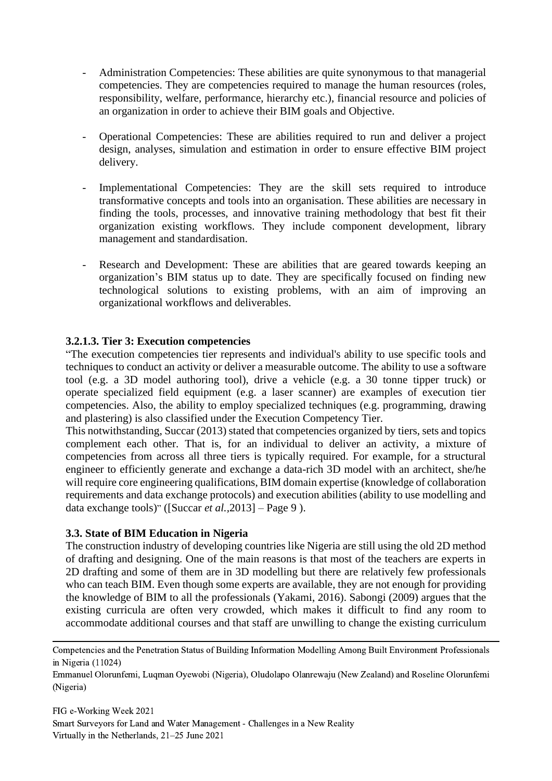- Administration Competencies: These abilities are quite synonymous to that managerial competencies. They are competencies required to manage the human resources (roles, responsibility, welfare, performance, hierarchy etc.), financial resource and policies of an organization in order to achieve their BIM goals and Objective.
- Operational Competencies: These are abilities required to run and deliver a project design, analyses, simulation and estimation in order to ensure effective BIM project delivery.
- Implementational Competencies: They are the skill sets required to introduce transformative concepts and tools into an organisation. These abilities are necessary in finding the tools, processes, and innovative training methodology that best fit their organization existing workflows. They include component development, library management and standardisation.
- Research and Development: These are abilities that are geared towards keeping an organization's BIM status up to date. They are specifically focused on finding new technological solutions to existing problems, with an aim of improving an organizational workflows and deliverables.

# **3.2.1.3. Tier 3: Execution competencies**

"The execution competencies tier represents and individual's ability to use specific tools and techniques to conduct an activity or deliver a measurable outcome. The ability to use a software tool (e.g. a 3D model authoring tool), drive a vehicle (e.g. a 30 tonne tipper truck) or operate specialized field equipment (e.g. a laser scanner) are examples of execution tier competencies. Also, the ability to employ specialized techniques (e.g. programming, drawing and plastering) is also classified under the Execution Competency Tier.

This notwithstanding, Succar (2013) stated that competencies organized by tiers, sets and topics complement each other. That is, for an individual to deliver an activity, a mixture of competencies from across all three tiers is typically required. For example, for a structural engineer to efficiently generate and exchange a data-rich 3D model with an architect, she/he will require core engineering qualifications, BIM domain expertise (knowledge of collaboration requirements and data exchange protocols) and execution abilities (ability to use modelling and data exchange tools)" ([Succar *et al.,*2013] – Page 9 ).

# **3.3. State of BIM Education in Nigeria**

The construction industry of developing countries like Nigeria are still using the old 2D method of drafting and designing. One of the main reasons is that most of the teachers are experts in 2D drafting and some of them are in 3D modelling but there are relatively few professionals who can teach BIM. Even though some experts are available, they are not enough for providing the knowledge of BIM to all the professionals (Yakami, 2016). Sabongi (2009) argues that the existing curricula are often very crowded, which makes it difficult to find any room to accommodate additional courses and that staff are unwilling to change the existing curriculum

Emmanuel Olorunfemi, Luqman Oyewobi (Nigeria), Oludolapo Olanrewaju (New Zealand) and Roseline Olorunfemi (Nigeria)

Competencies and the Penetration Status of Building Information Modelling Among Built Environment Professionals in Nigeria (11024)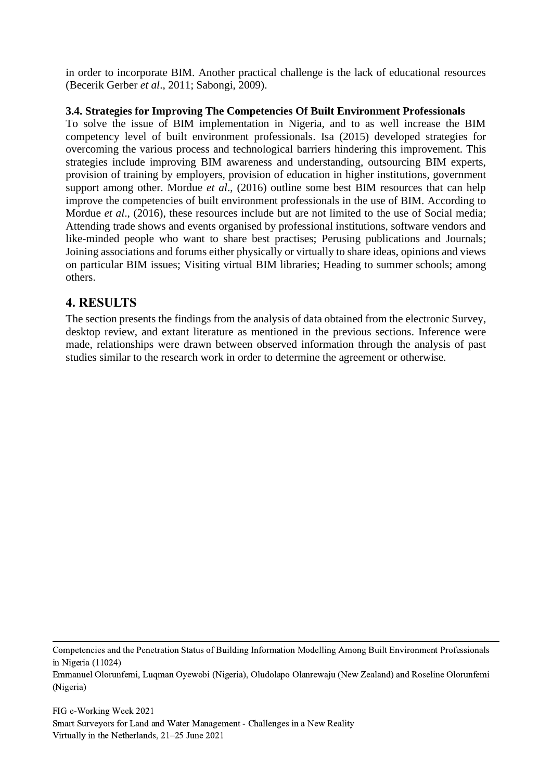in order to incorporate BIM. Another practical challenge is the lack of educational resources (Becerik Gerber *et al*., 2011; Sabongi, 2009).

# **3.4. Strategies for Improving The Competencies Of Built Environment Professionals**

To solve the issue of BIM implementation in Nigeria, and to as well increase the BIM competency level of built environment professionals. Isa (2015) developed strategies for overcoming the various process and technological barriers hindering this improvement. This strategies include improving BIM awareness and understanding, outsourcing BIM experts, provision of training by employers, provision of education in higher institutions, government support among other. Mordue *et al*., (2016) outline some best BIM resources that can help improve the competencies of built environment professionals in the use of BIM. According to Mordue *et al.*, (2016), these resources include but are not limited to the use of Social media; Attending trade shows and events organised by professional institutions, software vendors and like-minded people who want to share best practises; Perusing publications and Journals; Joining associations and forums either physically or virtually to share ideas, opinions and views on particular BIM issues; Visiting virtual BIM libraries; Heading to summer schools; among others.

# **4. RESULTS**

The section presents the findings from the analysis of data obtained from the electronic Survey, desktop review, and extant literature as mentioned in the previous sections. Inference were made, relationships were drawn between observed information through the analysis of past studies similar to the research work in order to determine the agreement or otherwise.

Competencies and the Penetration Status of Building Information Modelling Among Built Environment Professionals in Nigeria (11024)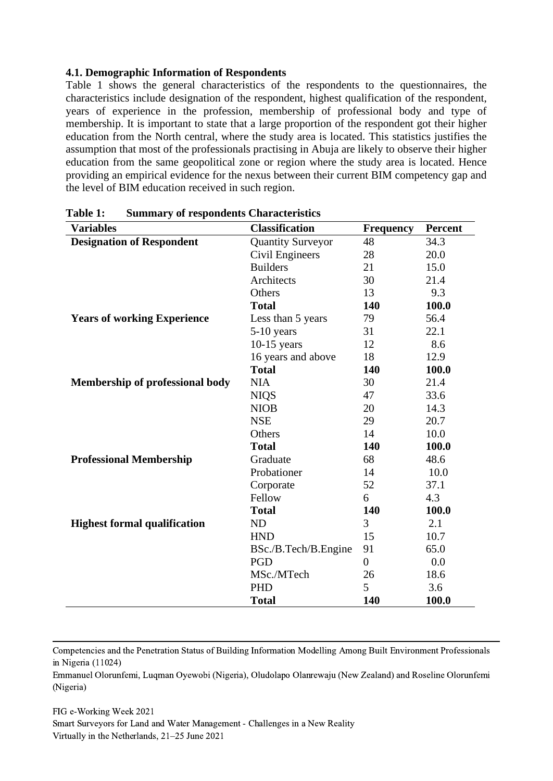#### **4.1. Demographic Information of Respondents**

Table 1 shows the general characteristics of the respondents to the questionnaires, the characteristics include designation of the respondent, highest qualification of the respondent, years of experience in the profession, membership of professional body and type of membership. It is important to state that a large proportion of the respondent got their higher education from the North central, where the study area is located. This statistics justifies the assumption that most of the professionals practising in Abuja are likely to observe their higher education from the same geopolitical zone or region where the study area is located. Hence providing an empirical evidence for the nexus between their current BIM competency gap and the level of BIM education received in such region.

| <b>Variables</b>                                             | <b>Classification</b> | <b>Frequency</b> | <b>Percent</b> |
|--------------------------------------------------------------|-----------------------|------------------|----------------|
| <b>Designation of Respondent</b><br><b>Quantity Surveyor</b> |                       | 48               | 34.3           |
|                                                              | Civil Engineers       | 28               | 20.0           |
|                                                              | <b>Builders</b>       | 21               | 15.0           |
|                                                              | Architects            | 30               | 21.4           |
|                                                              | Others                | 13               | 9.3            |
|                                                              | <b>Total</b>          | 140              | 100.0          |
| <b>Years of working Experience</b>                           | Less than 5 years     | 79               | 56.4           |
|                                                              | $5-10$ years          | 31               | 22.1           |
|                                                              | $10-15$ years         | 12               | 8.6            |
|                                                              | 16 years and above    | 18               | 12.9           |
|                                                              | <b>Total</b>          | 140              | 100.0          |
| <b>Membership of professional body</b>                       | <b>NIA</b>            | 30               | 21.4           |
|                                                              | <b>NIQS</b>           | 47               | 33.6           |
|                                                              | <b>NIOB</b>           | 20               | 14.3           |
|                                                              | <b>NSE</b>            | 29               | 20.7           |
|                                                              | Others                | 14               | 10.0           |
|                                                              | <b>Total</b>          | 140              | 100.0          |
| <b>Professional Membership</b>                               | Graduate              | 68               | 48.6           |
|                                                              | Probationer           | 14               | 10.0           |
|                                                              | Corporate             | 52               | 37.1           |
|                                                              | Fellow                | 6                | 4.3            |
|                                                              | <b>Total</b>          | 140              | 100.0          |
| <b>Highest formal qualification</b>                          | ND                    | 3                | 2.1            |
|                                                              | <b>HND</b>            | 15               | 10.7           |
|                                                              | BSc./B.Tech/B.Engine  | 91               | 65.0           |
|                                                              | PGD                   | $\overline{0}$   | 0.0            |
|                                                              | MSc./MTech            | 26               | 18.6           |
|                                                              | PHD                   | 5                | 3.6            |
|                                                              | <b>Total</b>          | 140              | 100.0          |

**Table 1: Summary of respondents Characteristics**

Competencies and the Penetration Status of Building Information Modelling Among Built Environment Professionals in Nigeria (11024)

Emmanuel Olorunfemi, Luqman Oyewobi (Nigeria), Oludolapo Olanrewaju (New Zealand) and Roseline Olorunfemi (Nigeria)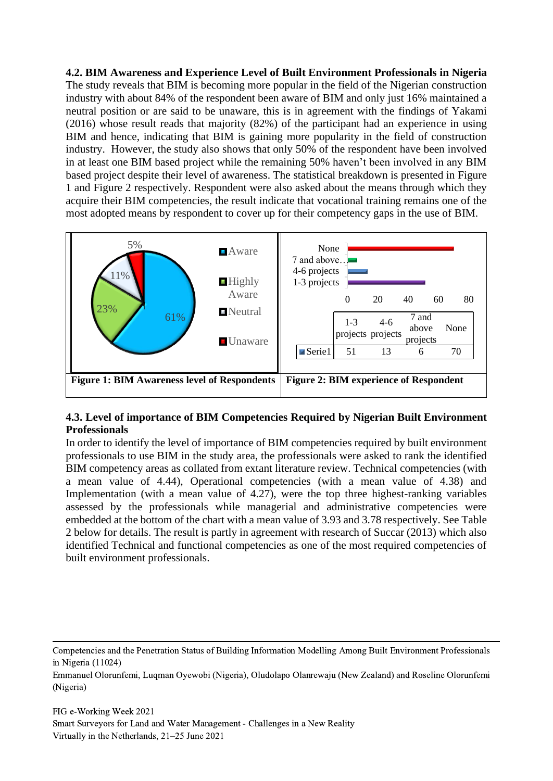**4.2. BIM Awareness and Experience Level of Built Environment Professionals in Nigeria** The study reveals that BIM is becoming more popular in the field of the Nigerian construction industry with about 84% of the respondent been aware of BIM and only just 16% maintained a neutral position or are said to be unaware, this is in agreement with the findings of Yakami (2016) whose result reads that majority (82%) of the participant had an experience in using BIM and hence, indicating that BIM is gaining more popularity in the field of construction industry. However, the study also shows that only 50% of the respondent have been involved in at least one BIM based project while the remaining 50% haven't been involved in any BIM based project despite their level of awareness. The statistical breakdown is presented in Figure 1 and Figure 2 respectively. Respondent were also asked about the means through which they acquire their BIM competencies, the result indicate that vocational training remains one of the most adopted means by respondent to cover up for their competency gaps in the use of BIM.



# **4.3. Level of importance of BIM Competencies Required by Nigerian Built Environment Professionals**

In order to identify the level of importance of BIM competencies required by built environment professionals to use BIM in the study area, the professionals were asked to rank the identified BIM competency areas as collated from extant literature review. Technical competencies (with a mean value of 4.44), Operational competencies (with a mean value of 4.38) and Implementation (with a mean value of 4.27), were the top three highest-ranking variables assessed by the professionals while managerial and administrative competencies were embedded at the bottom of the chart with a mean value of 3.93 and 3.78 respectively. See Table 2 below for details. The result is partly in agreement with research of Succar (2013) which also identified Technical and functional competencies as one of the most required competencies of built environment professionals.

Competencies and the Penetration Status of Building Information Modelling Among Built Environment Professionals in Nigeria (11024)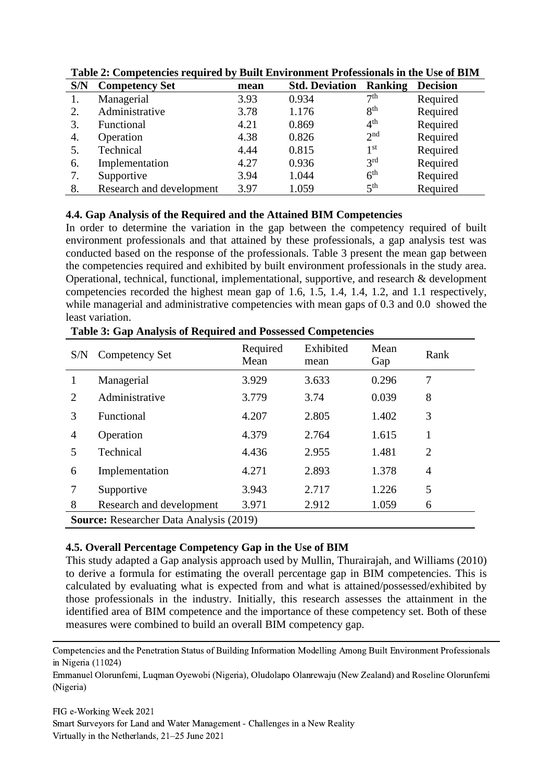| S/N | <b>Competency Set</b>    | mean | <b>Std. Deviation</b> | <b>Ranking</b>  | <b>Decision</b> |
|-----|--------------------------|------|-----------------------|-----------------|-----------------|
|     | Managerial               | 3.93 | 0.934                 | 7 <sup>th</sup> | Required        |
|     | Administrative           | 3.78 | 1.176                 | 8 <sup>th</sup> | Required        |
| 3.  | Functional               | 4.21 | 0.869                 | 4 <sup>th</sup> | Required        |
| 4.  | Operation                | 4.38 | 0.826                 | 2 <sup>nd</sup> | Required        |
| 5.  | Technical                | 4.44 | 0.815                 | 1 <sup>st</sup> | Required        |
| 6.  | Implementation           | 4.27 | 0.936                 | 3 <sup>rd</sup> | Required        |
|     | Supportive               | 3.94 | 1.044                 | 6 <sup>th</sup> | Required        |
| 8.  | Research and development | 3.97 | 1.059                 | $5^{\text{th}}$ | Required        |

**Table 2: Competencies required by Built Environment Professionals in the Use of BIM**

#### **4.4. Gap Analysis of the Required and the Attained BIM Competencies**

In order to determine the variation in the gap between the competency required of built environment professionals and that attained by these professionals, a gap analysis test was conducted based on the response of the professionals. Table 3 present the mean gap between the competencies required and exhibited by built environment professionals in the study area. Operational, technical, functional, implementational, supportive, and research & development competencies recorded the highest mean gap of 1.6, 1.5, 1.4, 1.4, 1.2, and 1.1 respectively, while managerial and administrative competencies with mean gaps of 0.3 and 0.0 showed the least variation.

| S/N                                            | <b>Competency Set</b>    | Required<br>Mean | Exhibited<br>mean | Mean<br>Gap | Rank           |
|------------------------------------------------|--------------------------|------------------|-------------------|-------------|----------------|
|                                                | Managerial               | 3.929            | 3.633             | 0.296       | 7              |
| 2                                              | Administrative           | 3.779            | 3.74              | 0.039       | 8              |
| 3                                              | Functional               | 4.207            | 2.805             | 1.402       | 3              |
| $\overline{4}$                                 | Operation                | 4.379            | 2.764             | 1.615       | 1              |
| 5                                              | Technical                | 4.436            | 2.955             | 1.481       | $\overline{2}$ |
| 6                                              | Implementation           | 4.271            | 2.893             | 1.378       | 4              |
| 7                                              | Supportive               | 3.943            | 2.717             | 1.226       | 5              |
| 8                                              | Research and development | 3.971            | 2.912             | 1.059       | 6              |
| <b>Source:</b> Researcher Data Analysis (2019) |                          |                  |                   |             |                |

**Table 3: Gap Analysis of Required and Possessed Competencies**

# **4.5. Overall Percentage Competency Gap in the Use of BIM**

This study adapted a Gap analysis approach used by Mullin, Thurairajah, and Williams (2010) to derive a formula for estimating the overall percentage gap in BIM competencies. This is calculated by evaluating what is expected from and what is attained/possessed/exhibited by those professionals in the industry. Initially, this research assesses the attainment in the identified area of BIM competence and the importance of these competency set. Both of these measures were combined to build an overall BIM competency gap.

Emmanuel Olorunfemi, Luqman Oyewobi (Nigeria), Oludolapo Olanrewaju (New Zealand) and Roseline Olorunfemi (Nigeria)

Competencies and the Penetration Status of Building Information Modelling Among Built Environment Professionals in Nigeria (11024)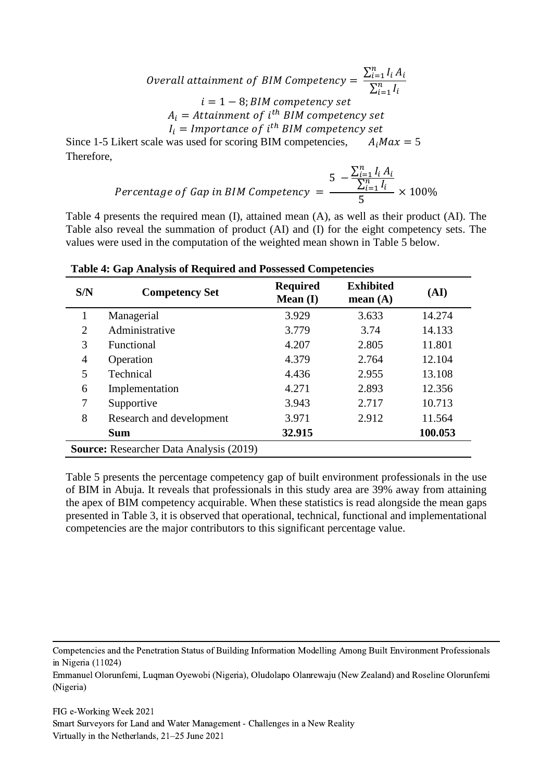Overall attainment of BIM Competency =  $\frac{\sum_{i=1}^{n} I_i A_i}{\sum_{i=1}^{n} I_i}$  $\sum_{i=1}^n I_i$  $i = 1 - 8$ ; BIM competency set  $A_i = Attainment of i<sup>th</sup> BIM competency set$  $I_i = \text{Importance of } i^\text{th}$  BIM competency set

Since 1-5 Likert scale was used for scoring BIM competencies,  $A_i M a x = 5$ Therefore,

$$
Percentage of Gap in BIM Computeracy = \frac{5 - \frac{\sum_{i=1}^{n} I_i A_i}{\sum_{i=1}^{n} I_i}}{5} \times 100\%
$$

Table 4 presents the required mean (I), attained mean (A), as well as their product (AI). The Table also reveal the summation of product (AI) and (I) for the eight competency sets. The values were used in the computation of the weighted mean shown in Table 5 below.

| S/N                                            | <b>Competency Set</b>    | <b>Required</b><br>Mean $(I)$ | <b>Exhibited</b><br>mean $(A)$ | (AI)    |  |
|------------------------------------------------|--------------------------|-------------------------------|--------------------------------|---------|--|
|                                                | Managerial               | 3.929                         | 3.633                          | 14.274  |  |
| 2                                              | Administrative           | 3.779                         | 3.74                           | 14.133  |  |
| 3                                              | Functional               | 4.207                         | 2.805                          | 11.801  |  |
| 4                                              | Operation                | 4.379                         | 2.764                          | 12.104  |  |
| 5                                              | Technical                | 4.436                         | 2.955                          | 13.108  |  |
| 6                                              | Implementation           | 4.271                         | 2.893                          | 12.356  |  |
| 7                                              | Supportive               | 3.943                         | 2.717                          | 10.713  |  |
| 8                                              | Research and development | 3.971                         | 2.912                          | 11.564  |  |
|                                                | <b>Sum</b>               | 32.915                        |                                | 100.053 |  |
| <b>Source:</b> Researcher Data Analysis (2019) |                          |                               |                                |         |  |

**Table 4: Gap Analysis of Required and Possessed Competencies**

Table 5 presents the percentage competency gap of built environment professionals in the use of BIM in Abuja. It reveals that professionals in this study area are 39% away from attaining the apex of BIM competency acquirable. When these statistics is read alongside the mean gaps presented in Table 3, it is observed that operational, technical, functional and implementational competencies are the major contributors to this significant percentage value.

Competencies and the Penetration Status of Building Information Modelling Among Built Environment Professionals in Nigeria (11024)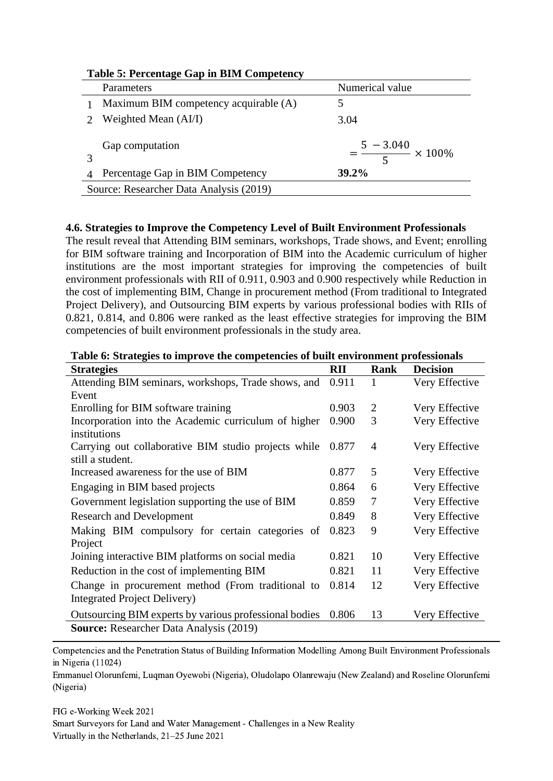| Table 5: Fercentage Gap in Drivi Competency |                                         |                                   |  |  |
|---------------------------------------------|-----------------------------------------|-----------------------------------|--|--|
|                                             | Parameters                              | Numerical value                   |  |  |
|                                             | Maximum BIM competency acquirable (A)   |                                   |  |  |
|                                             | Weighted Mean (AI/I)                    | 3.04                              |  |  |
|                                             | Gap computation                         | $=\frac{5-3.040}{4} \times 100\%$ |  |  |
|                                             | Percentage Gap in BIM Competency        | $39.2\%$                          |  |  |
|                                             | Source: Researcher Data Analysis (2019) |                                   |  |  |
|                                             |                                         |                                   |  |  |

#### **Table 5: Percentage Gap in BIM Competency**

#### **4.6. Strategies to Improve the Competency Level of Built Environment Professionals**

The result reveal that Attending BIM seminars, workshops, Trade shows, and Event; enrolling for BIM software training and Incorporation of BIM into the Academic curriculum of higher institutions are the most important strategies for improving the competencies of built environment professionals with RII of 0.911, 0.903 and 0.900 respectively while Reduction in the cost of implementing BIM, Change in procurement method (From traditional to Integrated Project Delivery), and Outsourcing BIM experts by various professional bodies with RIIs of 0.821, 0.814, and 0.806 were ranked as the least effective strategies for improving the BIM competencies of built environment professionals in the study area.

| <b>Strategies</b>                                      | RII   | Rank           | <b>Decision</b> |
|--------------------------------------------------------|-------|----------------|-----------------|
| Attending BIM seminars, workshops, Trade shows, and    | 0.911 | 1              | Very Effective  |
| Event                                                  |       |                |                 |
| Enrolling for BIM software training                    | 0.903 | $\overline{2}$ | Very Effective  |
| Incorporation into the Academic curriculum of higher   | 0.900 | 3              | Very Effective  |
| institutions                                           |       |                |                 |
| Carrying out collaborative BIM studio projects while   | 0.877 | 4              | Very Effective  |
| still a student.                                       |       |                |                 |
| Increased awareness for the use of BIM                 | 0.877 | 5              | Very Effective  |
| Engaging in BIM based projects                         | 0.864 | 6              | Very Effective  |
| Government legislation supporting the use of BIM       | 0.859 | 7              | Very Effective  |
| <b>Research and Development</b>                        | 0.849 | 8              | Very Effective  |
| Making BIM compulsory for certain categories of        | 0.823 | 9              | Very Effective  |
| Project                                                |       |                |                 |
| Joining interactive BIM platforms on social media      | 0.821 | 10             | Very Effective  |
| Reduction in the cost of implementing BIM              | 0.821 | 11             | Very Effective  |
| Change in procurement method (From traditional to      | 0.814 | 12             | Very Effective  |
| Integrated Project Delivery)                           |       |                |                 |
| Outsourcing BIM experts by various professional bodies | 0.806 | 13             | Very Effective  |
| <b>Source:</b> Researcher Data Analysis (2019)         |       |                |                 |

#### **Table 6: Strategies to improve the competencies of built environment professionals**

Competencies and the Penetration Status of Building Information Modelling Among Built Environment Professionals in Nigeria (11024)

Emmanuel Olorunfemi, Luqman Oyewobi (Nigeria), Oludolapo Olanrewaju (New Zealand) and Roseline Olorunfemi (Nigeria)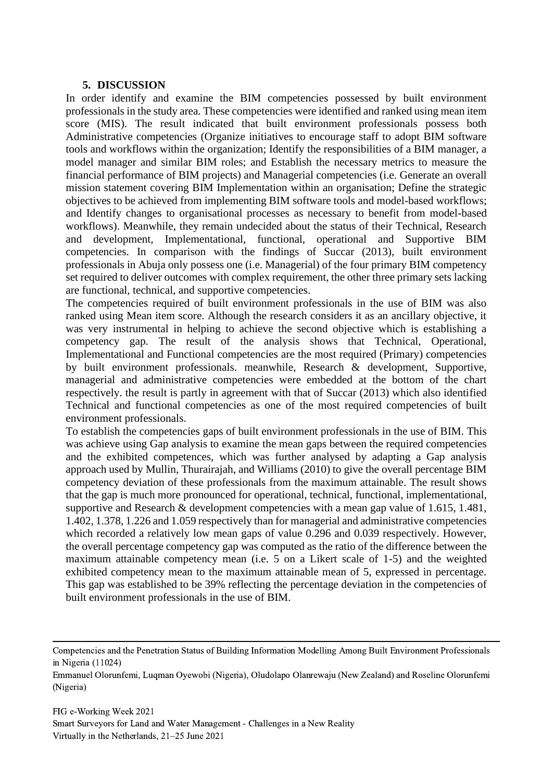#### **5. DISCUSSION**

In order identify and examine the BIM competencies possessed by built environment professionals in the study area. These competencies were identified and ranked using mean item score (MIS). The result indicated that built environment professionals possess both Administrative competencies (Organize initiatives to encourage staff to adopt BIM software tools and workflows within the organization; Identify the responsibilities of a BIM manager, a model manager and similar BIM roles; and Establish the necessary metrics to measure the financial performance of BIM projects) and Managerial competencies (i.e. Generate an overall mission statement covering BIM Implementation within an organisation; Define the strategic objectives to be achieved from implementing BIM software tools and model-based workflows; and Identify changes to organisational processes as necessary to benefit from model-based workflows). Meanwhile, they remain undecided about the status of their Technical, Research and development, Implementational, functional, operational and Supportive BIM competencies. In comparison with the findings of Succar (2013), built environment professionals in Abuja only possess one (i.e. Managerial) of the four primary BIM competency set required to deliver outcomes with complex requirement, the other three primary sets lacking are functional, technical, and supportive competencies.

The competencies required of built environment professionals in the use of BIM was also ranked using Mean item score. Although the research considers it as an ancillary objective, it was very instrumental in helping to achieve the second objective which is establishing a competency gap. The result of the analysis shows that Technical, Operational, Implementational and Functional competencies are the most required (Primary) competencies by built environment professionals. meanwhile, Research & development, Supportive, managerial and administrative competencies were embedded at the bottom of the chart respectively. the result is partly in agreement with that of Succar (2013) which also identified Technical and functional competencies as one of the most required competencies of built environment professionals.

To establish the competencies gaps of built environment professionals in the use of BIM. This was achieve using Gap analysis to examine the mean gaps between the required competencies and the exhibited competences, which was further analysed by adapting a Gap analysis approach used by Mullin, Thurairajah, and Williams (2010) to give the overall percentage BIM competency deviation of these professionals from the maximum attainable. The result shows that the gap is much more pronounced for operational, technical, functional, implementational, supportive and Research & development competencies with a mean gap value of 1.615, 1.481, 1.402, 1.378, 1.226 and 1.059 respectively than for managerial and administrative competencies which recorded a relatively low mean gaps of value 0.296 and 0.039 respectively. However, the overall percentage competency gap was computed as the ratio of the difference between the maximum attainable competency mean (i.e. 5 on a Likert scale of 1-5) and the weighted exhibited competency mean to the maximum attainable mean of 5, expressed in percentage. This gap was established to be 39% reflecting the percentage deviation in the competencies of built environment professionals in the use of BIM.

Emmanuel Olorunfemi, Luqman Oyewobi (Nigeria), Oludolapo Olanrewaju (New Zealand) and Roseline Olorunfemi (Nigeria)

Competencies and the Penetration Status of Building Information Modelling Among Built Environment Professionals in Nigeria (11024)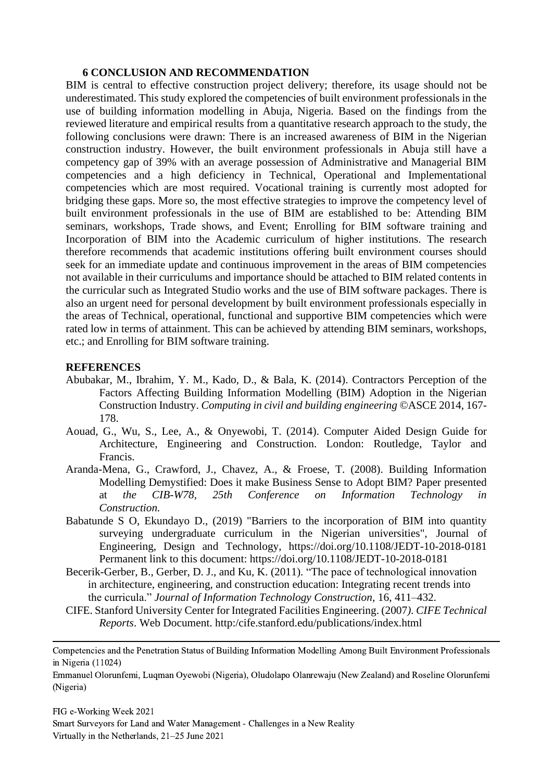#### **6 CONCLUSION AND RECOMMENDATION**

BIM is central to effective construction project delivery; therefore, its usage should not be underestimated. This study explored the competencies of built environment professionals in the use of building information modelling in Abuja, Nigeria. Based on the findings from the reviewed literature and empirical results from a quantitative research approach to the study, the following conclusions were drawn: There is an increased awareness of BIM in the Nigerian construction industry. However, the built environment professionals in Abuja still have a competency gap of 39% with an average possession of Administrative and Managerial BIM competencies and a high deficiency in Technical, Operational and Implementational competencies which are most required. Vocational training is currently most adopted for bridging these gaps. More so, the most effective strategies to improve the competency level of built environment professionals in the use of BIM are established to be: Attending BIM seminars, workshops, Trade shows, and Event; Enrolling for BIM software training and Incorporation of BIM into the Academic curriculum of higher institutions. The research therefore recommends that academic institutions offering built environment courses should seek for an immediate update and continuous improvement in the areas of BIM competencies not available in their curriculums and importance should be attached to BIM related contents in the curricular such as Integrated Studio works and the use of BIM software packages. There is also an urgent need for personal development by built environment professionals especially in the areas of Technical, operational, functional and supportive BIM competencies which were rated low in terms of attainment. This can be achieved by attending BIM seminars, workshops, etc.; and Enrolling for BIM software training.

#### **REFERENCES**

- Abubakar, M., Ibrahim, Y. M., Kado, D., & Bala, K. (2014). Contractors Perception of the Factors Affecting Building Information Modelling (BIM) Adoption in the Nigerian Construction Industry. *Computing in civil and building engineering* ©ASCE 2014, 167- 178.
- Aouad, G., Wu, S., Lee, A., & Onyewobi, T. (2014). Computer Aided Design Guide for Architecture, Engineering and Construction. London: Routledge, Taylor and Francis.
- Aranda-Mena, G., Crawford, J., Chavez, A., & Froese, T. (2008). Building Information Modelling Demystified: Does it make Business Sense to Adopt BIM? Paper presented at *the CIB-W78, 25th Conference on Information Technology in Construction.*
- Babatunde S O, Ekundayo D., (2019) "Barriers to the incorporation of BIM into quantity surveying undergraduate curriculum in the Nigerian universities", Journal of Engineering, Design and Technology, https://doi.org/10.1108/JEDT-10-2018-0181 Permanent link to this document: https://doi.org/10.1108/JEDT-10-2018-0181
- Becerik-Gerber, B., Gerber, D. J., and Ku, K. (2011). "The pace of technological innovation in architecture, engineering, and construction education: Integrating recent trends into the curricula." *Journal of Information Technology Construction,* 16, 411–432.
- CIFE. Stanford University Center for Integrated Facilities Engineering. (2007*). CIFE Technical Reports*. Web Document. http:/cife.stanford.edu/publications/index.html

Competencies and the Penetration Status of Building Information Modelling Among Built Environment Professionals in Nigeria (11024)

Emmanuel Olorunfemi, Luqman Oyewobi (Nigeria), Oludolapo Olanrewaju (New Zealand) and Roseline Olorunfemi (Nigeria)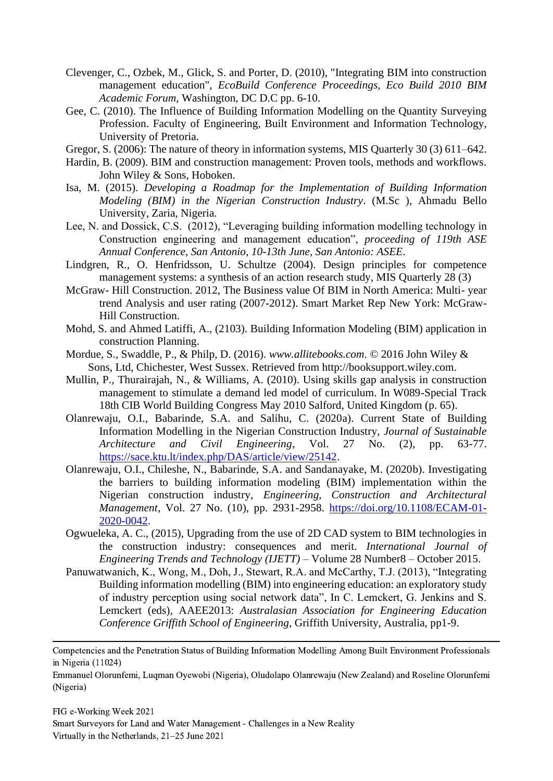- Clevenger, C., Ozbek, M., Glick, S. and Porter, D. (2010), "Integrating BIM into construction management education", *EcoBuild Conference Proceedings, Eco Build 2010 BIM Academic Forum*, Washington, DC D.C pp. 6-10.
- Gee, C. (2010). The Influence of Building Information Modelling on the Quantity Surveying Profession. Faculty of Engineering, Built Environment and Information Technology, University of Pretoria.
- Gregor, S. (2006): The nature of theory in information systems, MIS Quarterly 30 (3) 611–642.
- Hardin, B. (2009). BIM and construction management: Proven tools, methods and workflows. John Wiley & Sons, Hoboken.
- Isa, M. (2015). *Developing a Roadmap for the Implementation of Building Information Modeling (BIM) in the Nigerian Construction Industry*. (M.Sc ), Ahmadu Bello University, Zaria, Nigeria.
- Lee, N. and Dossick, C.S. (2012), "Leveraging building information modelling technology in Construction engineering and management education", *proceeding of 119th ASE Annual Conference, San Antonio, 10-13th June, San Antonio: ASEE*.
- Lindgren, R., O. Henfridsson, U. Schultze (2004). Design principles for competence management systems: a synthesis of an action research study, MIS Quarterly 28 (3)
- McGraw- Hill Construction. 2012, The Business value Of BIM in North America: Multi- year trend Analysis and user rating (2007-2012). Smart Market Rep New York: McGraw-Hill Construction.
- Mohd, S. and Ahmed Latiffi, A., (2103). Building Information Modeling (BIM) application in construction Planning.
- Mordue, S., Swaddle, P., & Philp, D. (2016). *www.allitebooks.com*. © 2016 John Wiley & Sons, Ltd, Chichester, West Sussex. Retrieved from http://booksupport.wiley.com.
- Mullin, P., Thurairajah, N., & Williams, A. (2010). Using skills gap analysis in construction management to stimulate a demand led model of curriculum. In W089-Special Track 18th CIB World Building Congress May 2010 Salford, United Kingdom (p. 65).
- Olanrewaju, O.I., Babarinde, S.A. and Salihu, C. (2020a). Current State of Building Information Modelling in the Nigerian Construction Industry, *Journal of Sustainable Architecture and Civil Engineering*, Vol. 27 No. (2), pp. 63-77. [https://sace.ktu.lt/index.php/DAS/article/view/25142.](https://sace.ktu.lt/index.php/DAS/article/view/25142)
- Olanrewaju, O.I., Chileshe, N., Babarinde, S.A. and Sandanayake, M. (2020b). Investigating the barriers to building information modeling (BIM) implementation within the Nigerian construction industry, *Engineering, Construction and Architectural Management*, Vol. 27 No. (10), pp. 2931-2958. [https://doi.org/10.1108/ECAM-01-](https://doi.org/10.1108/ECAM-01-2020-0042) [2020-0042.](https://doi.org/10.1108/ECAM-01-2020-0042)
- Ogwueleka, A. C., (2015), Upgrading from the use of 2D CAD system to BIM technologies in the construction industry: consequences and merit. *International Journal of Engineering Trends and Technology (IJETT)* – Volume 28 Number8 – October 2015.
- Panuwatwanich, K., Wong, M., Doh, J., Stewart, R.A. and McCarthy, T.J. (2013), "Integrating Building information modelling (BIM) into engineering education: an exploratory study of industry perception using social network data", In C. Lemckert, G. Jenkins and S. Lemckert (eds), AAEE2013: *Australasian Association for Engineering Education Conference Griffith School of Engineering*, Griffith University, Australia, pp1-9.

Emmanuel Olorunfemi, Luqman Oyewobi (Nigeria), Oludolapo Olanrewaju (New Zealand) and Roseline Olorunfemi (Nigeria)

Competencies and the Penetration Status of Building Information Modelling Among Built Environment Professionals in Nigeria (11024)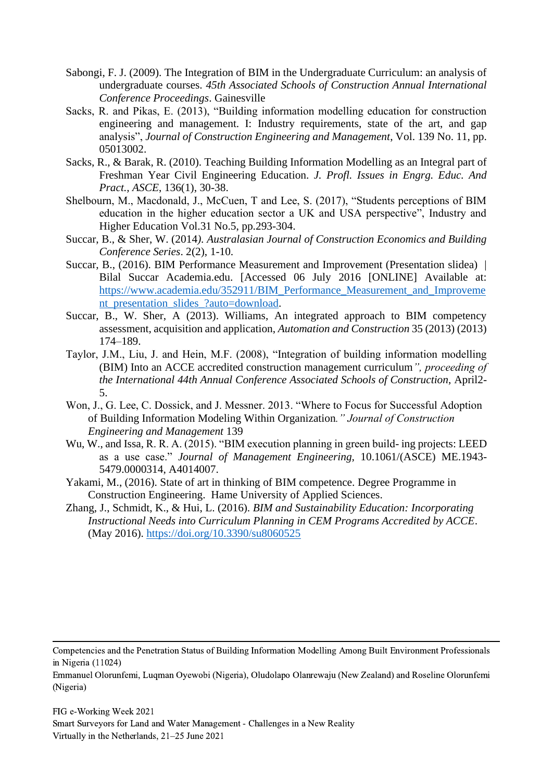- Sabongi, F. J. (2009). The Integration of BIM in the Undergraduate Curriculum: an analysis of undergraduate courses. *45th Associated Schools of Construction Annual International Conference Proceedings*. Gainesville
- Sacks, R. and Pikas, E. (2013), "Building information modelling education for construction engineering and management. I: Industry requirements, state of the art, and gap analysis", *Journal of Construction Engineering and Management*, Vol. 139 No. 11, pp. 05013002.
- Sacks, R., & Barak, R. (2010). Teaching Building Information Modelling as an Integral part of Freshman Year Civil Engineering Education. *J. Profl. Issues in Engrg. Educ. And Pract., ASCE*, 136(1), 30-38.
- Shelbourn, M., Macdonald, J., McCuen, T and Lee, S. (2017), "Students perceptions of BIM education in the higher education sector a UK and USA perspective", Industry and Higher Education Vol.31 No.5, pp.293-304.
- Succar, B., & Sher, W. (2014*). Australasian Journal of Construction Economics and Building Conference Series*. 2(2), 1-10.
- Succar, B., (2016). BIM Performance Measurement and Improvement (Presentation slidea) | Bilal Succar Academia.edu. [Accessed 06 July 2016 [ONLINE] Available at: [https://www.academia.edu/352911/BIM\\_Performance\\_Measurement\\_and\\_Improveme](https://www.academia.edu/352911/BIM_Performance_Measurement_and_Improvement_presentation_slides_?auto=download) [nt\\_presentation\\_slides\\_?auto=download.](https://www.academia.edu/352911/BIM_Performance_Measurement_and_Improvement_presentation_slides_?auto=download)
- Succar, B., W. Sher, A (2013). Williams, An integrated approach to BIM competency assessment, acquisition and application, *Automation and Construction* 35 (2013) (2013) 174–189.
- Taylor, J.M., Liu, J. and Hein, M.F. (2008), "Integration of building information modelling (BIM) Into an ACCE accredited construction management curriculum*", proceeding of the International 44th Annual Conference Associated Schools of Construction*, April2- 5.
- Won, J., G. Lee, C. Dossick, and J. Messner. 2013. "Where to Focus for Successful Adoption of Building Information Modeling Within Organization*." Journal of Construction Engineering and Management* 139
- Wu, W., and Issa, R. R. A. (2015). "BIM execution planning in green build- ing projects: LEED as a use case." *Journal of Management Engineering,* 10.1061/(ASCE) ME.1943- 5479.0000314, A4014007.
- Yakami, M., (2016). State of art in thinking of BIM competence. Degree Programme in Construction Engineering. Hame University of Applied Sciences.
- Zhang, J., Schmidt, K., & Hui, L. (2016). *BIM and Sustainability Education: Incorporating Instructional Needs into Curriculum Planning in CEM Programs Accredited by ACCE*. (May 2016).<https://doi.org/10.3390/su8060525>

Competencies and the Penetration Status of Building Information Modelling Among Built Environment Professionals in Nigeria (11024)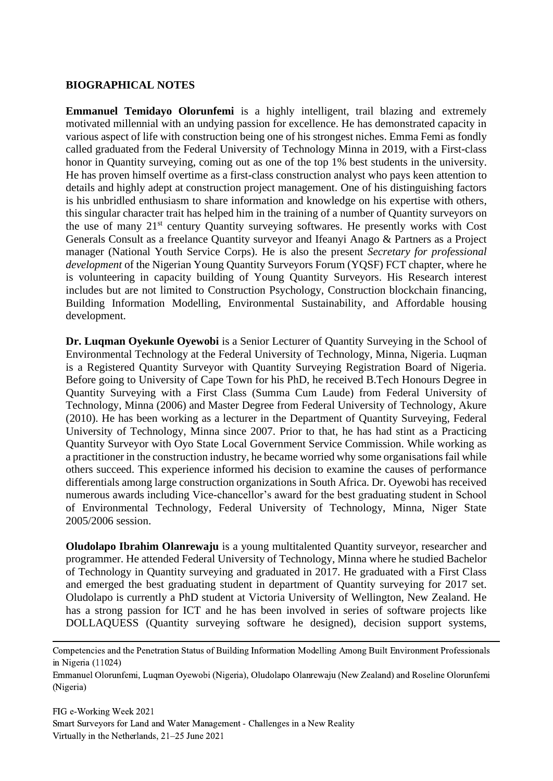#### **BIOGRAPHICAL NOTES**

**Emmanuel Temidayo Olorunfemi** is a highly intelligent, trail blazing and extremely motivated millennial with an undying passion for excellence. He has demonstrated capacity in various aspect of life with construction being one of his strongest niches. Emma Femi as fondly called graduated from the Federal University of Technology Minna in 2019, with a First-class honor in Quantity surveying, coming out as one of the top 1% best students in the university. He has proven himself overtime as a first-class construction analyst who pays keen attention to details and highly adept at construction project management. One of his distinguishing factors is his unbridled enthusiasm to share information and knowledge on his expertise with others, this singular character trait has helped him in the training of a number of Quantity surveyors on the use of many 21st century Quantity surveying softwares. He presently works with Cost Generals Consult as a freelance Quantity surveyor and Ifeanyi Anago & Partners as a Project manager (National Youth Service Corps). He is also the present *Secretary for professional development* of the Nigerian Young Quantity Surveyors Forum (YQSF) FCT chapter, where he is volunteering in capacity building of Young Quantity Surveyors. His Research interest includes but are not limited to Construction Psychology, Construction blockchain financing, Building Information Modelling, Environmental Sustainability, and Affordable housing development.

**Dr. Luqman Oyekunle Oyewobi** is a Senior Lecturer of Quantity Surveying in the School of Environmental Technology at the Federal University of Technology, Minna, Nigeria. Luqman is a Registered Quantity Surveyor with Quantity Surveying Registration Board of Nigeria. Before going to University of Cape Town for his PhD, he received B.Tech Honours Degree in Quantity Surveying with a First Class (Summa Cum Laude) from Federal University of Technology, Minna (2006) and Master Degree from Federal University of Technology, Akure (2010). He has been working as a lecturer in the Department of Quantity Surveying, Federal University of Technology, Minna since 2007. Prior to that, he has had stint as a Practicing Quantity Surveyor with Oyo State Local Government Service Commission. While working as a practitioner in the construction industry, he became worried why some organisations fail while others succeed. This experience informed his decision to examine the causes of performance differentials among large construction organizations in South Africa. Dr. Oyewobi has received numerous awards including Vice-chancellor's award for the best graduating student in School of Environmental Technology, Federal University of Technology, Minna, Niger State 2005/2006 session.

**Oludolapo Ibrahim Olanrewaju** is a young multitalented Quantity surveyor, researcher and programmer. He attended Federal University of Technology, Minna where he studied Bachelor of Technology in Quantity surveying and graduated in 2017. He graduated with a First Class and emerged the best graduating student in department of Quantity surveying for 2017 set. Oludolapo is currently a PhD student at Victoria University of Wellington, New Zealand. He has a strong passion for ICT and he has been involved in series of software projects like DOLLAQUESS (Quantity surveying software he designed), decision support systems,

Emmanuel Olorunfemi, Luqman Oyewobi (Nigeria), Oludolapo Olanrewaju (New Zealand) and Roseline Olorunfemi (Nigeria)

Competencies and the Penetration Status of Building Information Modelling Among Built Environment Professionals in Nigeria (11024)